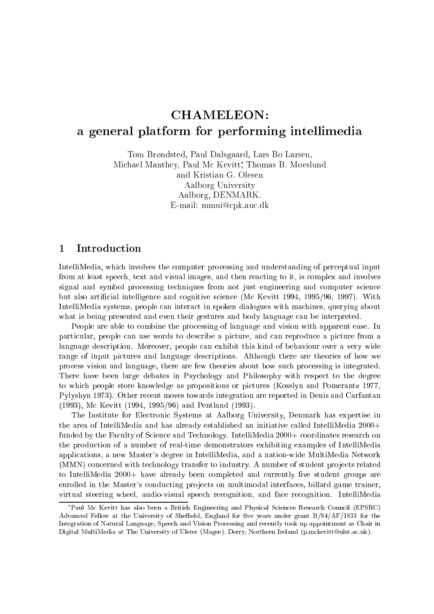# **CHAMELEON:** a general platform for performing intellimedia

Tom Brøndsted, Paul Dalsgaard, Lars Bo Larsen, Mi
hael Manthey, Paul M Kevitt , Thomas B. Moeslund and Kristian G. Olesen Aalborg University Aalborg, DENMARK. E-mail: mmui@cpk.auc.dk

### 1 Introduction

IntelliMedia, which involves the computer processing and understanding of perceptual input from at least speech, text and visual images, and then reacting to it, is complex and involves signal and symbol processing techniques from not just engineering and computer science but also artificial intelligence and cognitive science (Mc Kevitt 1994, 1995/96, 1997). With IntelliMedia systems, people can interact in spoken dialogues with machines, querying about what is being presented and even their gestures and body language can be interpreted.

People are able to combine the processing of language and vision with apparent ease. In particular, people can use words to describe a picture, and can reproduce a picture from a language description. Moreover, people can exhibit this kind of behaviour over a very wide range of input pictures and language descriptions. Although there are theories of how we pro
ess vision and language, there are few theories about how su
h pro
essing is integrated. There have been large debates in Psychology and Philosophy with respect to the degree to whi
h people store knowledge as propositions or pi
tures (Kosslyn and Pomerantz 1977, Pylyshyn 1973). Other re
ent moves towards integration are reported in Denis and Carfantan (1993), M Kevitt (1994, 1995/96) and Pentland (1993).

The Institute for Ele
troni Systems at Aalborg University, Denmark has expertise in the area of IntelliMedia and has already established an initiative called IntelliMedia 2000+ funded by the Faculty of Science and Technology. IntelliMedia 2000+ coordinates research on the produ
tion of a number of real-time demonstrators exhibiting examples of IntelliMedia appli
ations, a new Master's degree in IntelliMedia, and a nation-wide MultiMedia Network (MMN) concerned with technology transfer to industry. A number of student projects related to IntelliMedia  $2000+$  have already been completed and currently five student groups are enrolled in the Master's conducting projects on multimodal interfaces, billard game trainer, virtual steering wheel, audio-visual spee
h re
ognition, and fa
e re
ognition. IntelliMedia

Paul M Kevitt has also been a British Engineering and Physi
al S
ien
es Resear
h Coun
il (EPSRC) Advanced Fellow at the University of Sheffield, England for five years under grant B/94/AF/1833 for the Integration of Natural Language, Spee
h and Vision Pro
essing and re
ently took up appointment as Chair in Digital MultiMedia at The University of Ulster (Magee), Derry, Northern Ireland (p.mckevitt@ulst.ac.uk).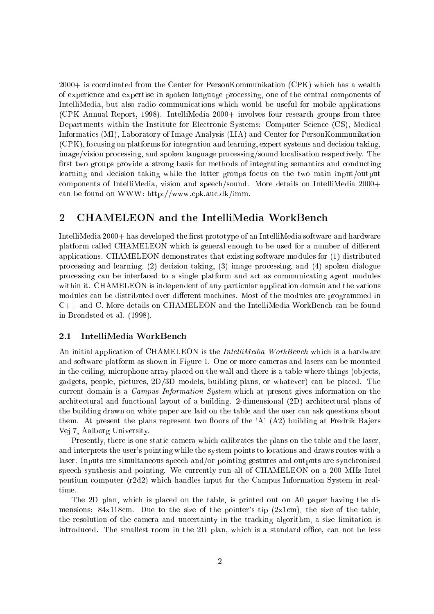2000+ is oordinated from the Center for PersonKommunikation (CPK) whi
h has a wealth of experien
e and expertise in spoken language pro
essing, one of the entral omponents of IntelliMedia, but also radio communications which would be useful for mobile applications (CPK Annual Report, 1998). IntelliMedia 2000+ involves four resear
h groups from three Departments within the Institute for Electronic Systems: Computer Science (CS), Medical Informati
s (MI), Laboratory of Image Analysis (LIA) and Center for PersonKommunikation (CPK), focusing on platforms for integration and learning, expert systems and decision taking, image/vision processing, and spoken language processing/sound localisation respectively. The first two groups provide a strong basis for methods of integrating semantics and conducting learning and decision taking while the latter groups focus on the two main input/output omponents of IntelliMedia, vision and spee
h/sound. More details on IntelliMedia 2000+ can be found on WWW: http://www.cpk.auc.dk/imm.

### 2 CHAMELEON and the IntelliMedia WorkBen
h

IntelliMedia 2000+ has developed the first prototype of an IntelliMedia software and hardware platform called CHAMELEON which is general enough to be used for a number of different appli
ations. CHAMELEON demonstrates that existing software modules for (1) distributed pro
essing and learning, (2) de
ision taking, (3) image pro
essing, and (4) spoken dialogue pro
essing an be interfa
ed to a single platform and a
t as ommuni
ating agent modules within it. CHAMELEON is independent of any particular application domain and the various modules can be distributed over different machines. Most of the modules are programmed in C++ and C. More details on CHAMELEON and the IntelliMedia WorkBen
h an be found in Brøndsted et al.  $(1998)$ .

### 2.1 IntelliMedia WorkBen
h

An initial application of CHAMELEON is the *IntelliMedia WorkBench* which is a hardware and software platform as shown in Figure 1. One or more cameras and lasers can be mounted in the ceiling, microphone array placed on the wall and there is a table where things (objects, gadgets, people, pi
tures, 2D/3D models, building plans, or whatever) an be pla
ed. The urrent domain is a Campus Information System whi
h at present gives information on the ar
hite
tural and fun
tional layout of a building. 2-dimensional (2D) ar
hite
tural plans of the building drawn on white paper are laid on the table and the user an ask questions about them. At present the plans represent two floors of the  $A'$  (A2) building at Fredrik Bajers Vej 7, Aalborg University.

Presently, there is one static camera which calibrates the plans on the table and the laser, and interprets the user's pointing while the system points to locations and draws routes with a laser. Inputs are simultaneous spee
h and/or pointing gestures and outputs are syn
hronised speech synthesis and pointing. We currently run all of CHAMELEON on a 200 MHz Intel pentium omputer (r2d2) whi
h handles input for the Campus Information System in realtime.

The 2D plan, which is placed on the table, is printed out on A0 paper having the dimensions:  $84x118$ cm. Due to the size of the pointer's tip  $(2x1cm)$ , the size of the table, the resolution of the amera and un
ertainty in the tra
king algorithm, a size limitation is introduced. The smallest room in the 2D plan, which is a standard office, can not be less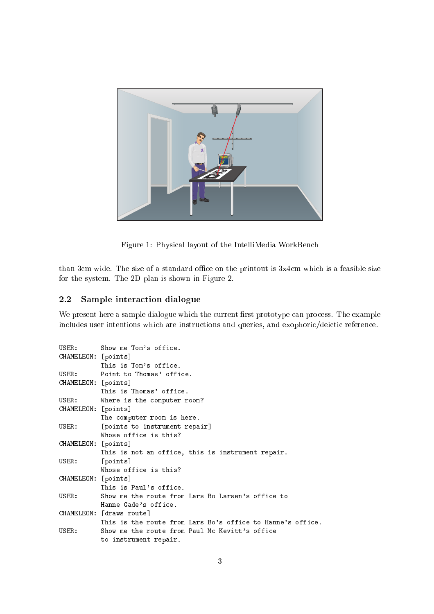

Figure 1: Physi
al layout of the IntelliMedia WorkBen
h

than 3cm wide. The size of a standard office on the printout is  $3x4cm$  which is a feasible size for the system. The 2D plan is shown in Figure 2.

### 2.2 Sample intera
tion dialogue

We present here a sample dialogue which the current first prototype can process. The example includes user intentions which are instructions and queries, and exophoric/deictic reference.

```
USER: Show me Tom's office.
CHAMELEON: [points]
          This is Tom's offi
e.
USER: Point to Thomas' office.
CHAMELEON: [points]
          This is Thomas' offi
e.
USER: Where is the 
omputer room?
CHAMELEON: [points]
          The 
omputer room is here.
USER: [points to instrument repair]
          Whose offi
e is this?
CHAMELEON: [points]
          This is not an offi
e, this is instrument repair.
USER: [points]
          Whose offi
e is this?
CHAMELEON: [points]
          This is Paul's offi
e.
USER: Show me the route from Lars Bo Larsen's office to
          Hanne Gade's offi
e.
CHAMELEON: [draws route]
          This is the route from Lars Bo's office to Hanne's office.
USER: Show me the route from Paul Mc Kevitt's office
          to instrument repair.
```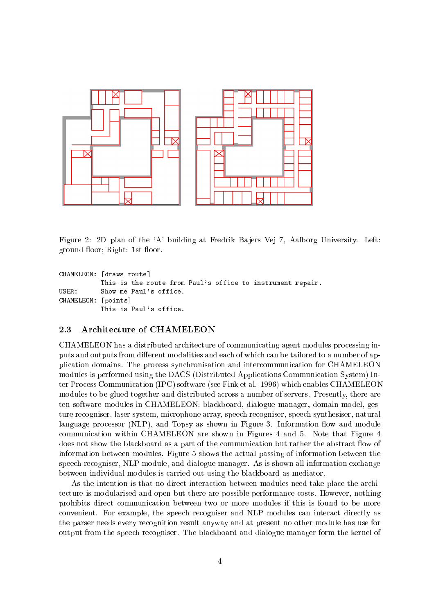

Figure 2: 2D plan of the 'A' building at Fredrik Bajers Vej 7, Aalborg University. Left: ground floor; Right: 1st floor.

CHAMELEON: [draws route] This is the route from Paul's offi
e to instrument repair. USER: Show me Paul's office. CHAMELEON: [points] This is Paul's offi
e.

### 2.3 Architecture of CHAMELEON

CHAMELEON has a distributed architecture of communicating agent modules processing inputs and outputs from different modalities and each of which can be tailored to a number of appli
ation domains. The pro
ess syn
hronisation and inter
ommuni
ation for CHAMELEON modules is performed using the DACS (Distributed Applications Communication System) Inter Pro
ess Communi
ation (IPC) software (see Fink et al. 1996) whi
h enables CHAMELEON modules to be glued together and distributed across a number of servers. Presently, there are ten software modules in CHAMELEON: bla
kboard, dialogue manager, domain model, gesture re
ogniser, laser system, mi
rophone array, spee
h re
ogniser, spee
h synthesiser, natural language processor (NLP), and Topsy as shown in Figure 3. Information flow and module ommuni
ation within CHAMELEON are shown in Figures 4 and 5. Note that Figure 4 does not show the blackboard as a part of the communication but rather the abstract flow of information between modules. Figure 5 shows the a
tual passing of information between the spee
h re
ogniser, NLP module, and dialogue manager. As is shown all information ex
hange between individual modules is arried out using the bla
kboard as mediator.

As the intention is that no direct interaction between modules need take place the architecture is modularised and open but there are possible performance costs. However, nothing prohibits dire
t ommuni
ation between two or more modules if this is found to be more convenient. For example, the speech recogniser and NLP modules can interact directly as the parser needs every re
ognition result anyway and at present no other module has use for output from the spee
h re
ogniser. The bla
kboard and dialogue manager form the kernel of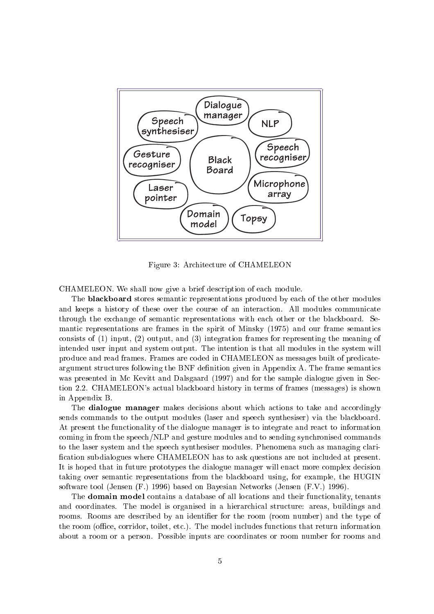

Figure 3: Ar
hite
ture of CHAMELEON

CHAMELEON. We shall now give a brief des
ription of ea
h module.

The **blackboard** stores semantic representations produced by each of the other modules and keeps a history of these over the course of an interaction. All modules communicate through the exchange of semantic representations with each other or the blackboard. Semantic representations are frames in the spirit of Minsky (1975) and our frame semantics onsists of (1) input, (2) output, and (3) integration frames for representing the meaning of intended user input and system output. The intention is that all modules in the system will produ
e and read frames. Frames are oded in CHAMELEON as messages built of predi
ateargument structures following the BNF definition given in Appendix A. The frame semantics was presented in Mc Kevitt and Dalsgaard (1997) and for the sample dialogue given in Section 2.2. CHAMELEON's a
tual bla
kboard history in terms of frames (messages) is shown in Appendix B.

The dialogue manager makes decisions about which actions to take and accordingly sends commands to the output modules (laser and speech synthesiser) via the blackboard. At present the functionality of the dialogue manager is to integrate and react to information oming in from the spee
h/NLP and gesture modules and to sending syn
hronised ommands to the laser system and the speech synthesiser modules. Phenomena such as managing clarification subdialogues where CHAMELEON has to ask questions are not included at present. It is hoped that in future prototypes the dialogue manager will enact more complex decision taking over semantic representations from the blackboard using, for example, the HUGIN software tool (Jensen (F.) 1996) based on Bayesian Networks (Jensen (F.V.) 1996).

The **domain model** contains a database of all locations and their functionality, tenants and coordinates. The model is organised in a hierarchical structure: areas, buildings and rooms. Rooms are described by an identifier for the room (room number) and the type of the room (office, corridor, toilet, etc.). The model includes functions that return information about a room or a person. Possible inputs are oordinates or room number for rooms and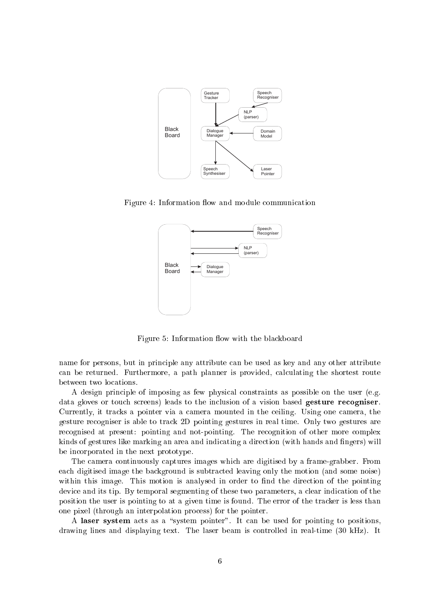

Figure 4: Information flow and module communication



Figure 5: Information flow with the blackboard

name for persons, but in principle any attribute can be used as key and any other attribute can be returned. Furthermore, a path planner is provided, calculating the shortest route between two lo
ations.

A design principle of imposing as few physical constraints as possible on the user (e.g. data gloves or touch screens) leads to the inclusion of a vision based gesture recogniser. Currently, it tracks a pointer via a camera mounted in the ceiling. Using one camera, the gesture re
ogniser is able to tra
k 2D pointing gestures in real time. Only two gestures are recognised at present: pointing and not-pointing. The recognition of other more complex kinds of gestures like marking an area and indicating a direction (with hands and fingers) will be in
orporated in the next prototype.

The camera continuously captures images which are digitised by a frame-grabber. From ea
h digitised image the ba
kground is subtra
ted leaving only the motion (and some noise) within this image. This motion is analysed in order to find the direction of the pointing device and its tip. By temporal segmenting of these two parameters, a clear indication of the position the user is pointing to at a given time is found. The error of the tracker is less than one pixel (through an interpolation pro
ess) for the pointer.

A laser system acts as a "system pointer". It can be used for pointing to positions, drawing lines and displaying text. The laser beam is ontrolled in real-time (30 kHz). It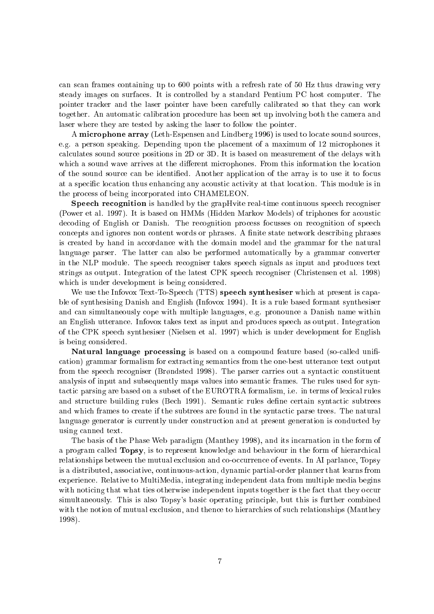an s
an frames ontaining up to 600 points with a refresh rate of 50 Hz thus drawing very steady images on surfa
es. It is ontrolled by a standard Pentium PC host omputer. The pointer tra
ker and the laser pointer have been arefully alibrated so that they an work together. An automatic calibration procedure has been set up involving both the camera and laser where they are tested by asking the laser to follow the pointer.

A microphone array (Leth-Espensen and Lindberg 1996) is used to locate sound sources, e.g. a person speaking. Depending upon the placement of a maximum of 12 microphones it al
ulates sound sour
e positions in 2D or 3D. It is based on measurement of the delays with which a sound wave arrives at the different microphones. From this information the location of the sound source can be identified. Another application of the array is to use it to focus at a specific location thus enhancing any acoustic activity at that location. This module is in the pro
ess of being in
orporated into CHAMELEON.

Spee
h re
ognition is handled by the grapHvite real-time ontinuous spee
h re
ogniser (Power et al. 1997). It is based on HMMs (Hidden Markov Models) of triphones for a
ousti decoding of English or Danish. The recognition process focusses on recognition of speech concepts and ignores non content words or phrases. A finite state network describing phrases is created by hand in accordance with the domain model and the grammar for the natural language parser. The latter can also be performed automatically by a grammar converter in the NLP module. The spee
h re
ogniser takes spee
h signals as input and produ
es text strings as output. Integration of the latest CPK spee
h re
ogniser (Christensen et al. 1998) which is under development is being considered.

We use the Infovox Text-To-Speech (TTS) speech synthesiser which at present is capable of synthesising Danish and English (Infovox 1994). It is a rule based formant synthesiser and can simultaneously cope with multiple languages, e.g. pronounce a Danish name within an English utteran
e. Infovox takes text as input and produ
es spee
h as output. Integration of the CPK spee
h synthesiser (Nielsen et al. 1997) whi
h is under development for English is being onsidered.

Natural language pro
essing is based on a ompound feature based (soalled uni ation) grammar formalism for extra
ting semanti
s from the one-best utteran
e text output from the speech recogniser (Brøndsted 1998). The parser carries out a syntactic constituent analysis of input and subsequently maps values into semantic frames. The rules used for syntactic parsing are based on a subset of the EUROTRA formalism, i.e. in terms of lexical rules and structure building rules (Bech 1991). Semantic rules define certain syntactic subtrees and which frames to create if the subtrees are found in the syntactic parse trees. The natural language generator is currently under construction and at present generation is conducted by using anned text.

The basis of the Phase Web paradigm (Manthey 1998), and its in
arnation in the form of a program called Topsy, is to represent knowledge and behaviour in the form of hierarchical relationships between the mutual exclusion and co-occurrence of events. In AI parlance, Topsy is a distributed, asso
iative, ontinuous-a
tion, dynami partial-order planner that learns from experien
e. Relative to MultiMedia, integrating independent data from multiple media begins with noticing that what ties otherwise independent inputs together is the fact that they occur simultaneously. This is also Topsy's basic operating principle, but this is further combined with the notion of mutual exclusion, and thence to hierarchies of such relationships (Manthey 1998).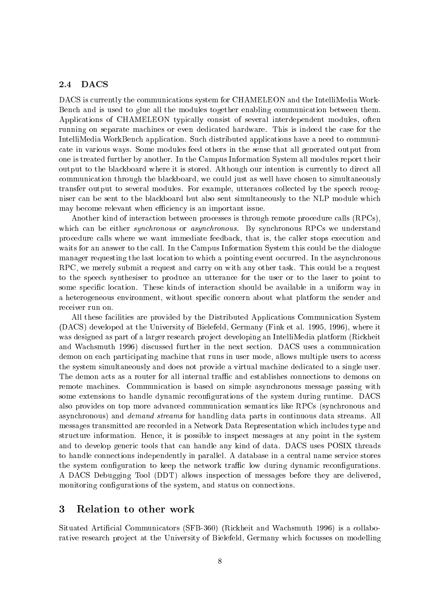#### $2.4$ **DACS**

DACS is currently the communications system for CHAMELEON and the IntelliMedia Work-Ben
h and is used to glue all the modules together enabling ommuni
ation between them. Applications of CHAMELEON typically consist of several interdependent modules, often running on separate machines or even dedicated hardware. This is indeed the case for the IntelliMedia WorkBench application. Such distributed applications have a need to communiate in various ways. Some modules feed others in the sense that all generated output from one is treated further by another. In the Campus Information System all modules report their output to the blackboard where it is stored. Although our intention is currently to direct all communication through the blackboard, we could just as well have chosen to simultaneously transfer output to several modules. For example, utterances collected by the speech recogniser can be sent to the blackboard but also sent simultaneously to the NLP module which may become relevant when efficiency is an important issue.

Another kind of interaction between processes is through remote procedure calls (RPCs), which can be either *synchronous* or *asynchronous*. By synchronous RPCs we understand pro
edure alls where we want immediate feedba
k, that is, the aller stops exe
ution and waits for an answer to the call. In the Campus Information System this could be the dialogue manager requesting the last location to which a pointing event occurred. In the asynchronous RPC, we merely submit a request and carry on with any other task. This could be a request to the spee
h synthesiser to produ
e an utteran
e for the user or to the laser to point to some specific location. These kinds of interaction should be available in a uniform way in a heterogeneous environment, without specific concern about what platform the sender and receiver run on.

All these facilities are provided by the Distributed Applications Communication System (DACS) developed at the University of Bielefeld, Germany (Fink et al. 1995, 1996), where it was designed as part of a larger research project developing an IntelliMedia platform (Rickheit and Wachsmuth 1996) discussed further in the next section. DACS uses a communication demon on each participating machine that runs in user mode, allows multiple users to access the system simultaneously and does not provide a virtual ma
hine dedi
ated to a single user. The demon acts as a router for all internal traffic and establishes connections to demons on remote machines. Communication is based on simple asynchronous message passing with some extensions to handle dynamic reconfigurations of the system during runtime. DACS also provides on top more advan
ed ommuni
ation semanti
s like RPCs (syn
hronous and asyn
hronous) and demand streams for handling data parts in ontinuous data streams. All messages transmitted are re
orded in a Network Data Representation whi
h in
ludes type and structure information. Hence, it is possible to inspect messages at any point in the system and to develop generic tools that can handle any kind of data. DACS uses POSIX threads to handle connections independently in parallel. A database in a central name service stores the system configuration to keep the network traffic low during dynamic reconfigurations. A DACS Debugging Tool (DDT) allows inspe
tion of messages before they are delivered, monitoring configurations of the system, and status on connections.

#### 3 Relation to other work

Situated Artificial Communicators (SFB-360) (Rickheit and Wachsmuth 1996) is a collaborative research project at the University of Bielefeld, Germany which focusses on modelling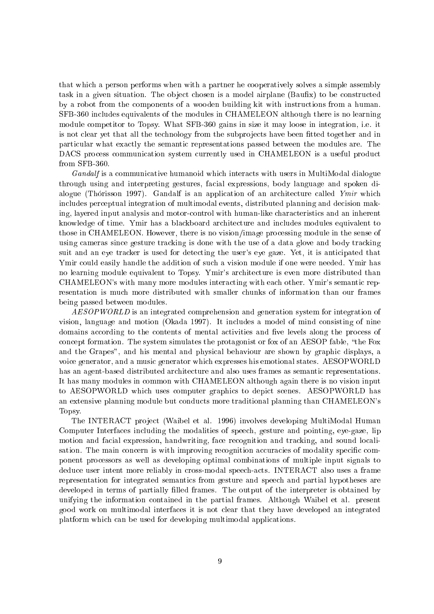that whi
h a person performs when with a partner he ooperatively solves a simple assembly task in a given situation. The object chosen is a model airplane (Baufix) to be constructed by a robot from the omponents of a wooden building kit with instru
tions from a human. SFB-360 in
ludes equivalents of the modules in CHAMELEON although there is no learning module ompetitor to Topsy. What SFB-360 gains in size it may loose in integration, i.e. it is not clear yet that all the technology from the subprojects have been fitted together and in particular what exactly the semantic representations passed between the modules are. The DACS process communication system currently used in CHAMELEON is a useful product from SFB-360.

Gandalf is a communicative humanoid which interacts with users in MultiModal dialogue through using and interpreting gestures, fa
ial expressions, body language and spoken dialogue (Thórisson 1997). Gandalf is an application of an architecture called Ymir which includes perceptual integration of multimodal events, distributed planning and decision making, layered input analysis and motor-control with human-like characteristics and an inherent knowledge of time. Ymir has a bla
kboard ar
hite
ture and in
ludes modules equivalent to those in CHAMELEON. However, there is no vision/image pro
essing module in the sense of using cameras since gesture tracking is done with the use of a data glove and body tracking suit and an eye tracker is used for detecting the user's eye gaze. Yet, it is anticipated that Ymir could easily handle the addition of such a vision module if one were needed. Ymir has no learning module equivalent to Topsy. Ymir's architecture is even more distributed than CHAMELEON's with many more modules interacting with each other. Ymir's semantic representation is mu
h more distributed with smaller hunks of information than our frames being passed between modules.

AESOPWORLD is an integrated comprehension and generation system for integration of vision, language and motion (Okada 1997). It in
ludes a model of mind onsisting of nine domains according to the contents of mental activities and five levels along the process of on
ept formation. The system simulates the protagonist or fox of an AESOP fable, \the Fox and the Grapes", and his mental and physical behaviour are shown by graphic displays, a voi
e generator, and a musi generator whi
h expresses his emotional states. AESOPWORLD has an agent-based distributed architecture and also uses frames as semantic representations. It has many modules in ommon with CHAMELEON although again there is no vision input to AESOPWORLD which uses computer graphics to depict scenes. AESOPWORLD has an extensive planning module but ondu
ts more traditional planning than CHAMELEON's Topsy.

The INTERACT project (Waibel et al. 1996) involves developing MultiModal Human Computer Interfaces including the modalities of speech, gesture and pointing, eye-gaze, lip motion and facial expression, handwriting, face recognition and tracking, and sound localisation. The main concern is with improving recognition accuracies of modality specific component pro
essors as well as developing optimal ombinations of multiple input signals to deduce user intent more reliably in cross-modal speech-acts. INTERACT also uses a frame representation for integrated semanti
s from gesture and spee
h and partial hypotheses are developed in terms of partially filled frames. The output of the interpreter is obtained by unifying the information ontained in the partial frames. Although Waibel et al. present good work on multimodal interfa
es it is not lear that they have developed an integrated platform whi
h an be used for developing multimodal appli
ations.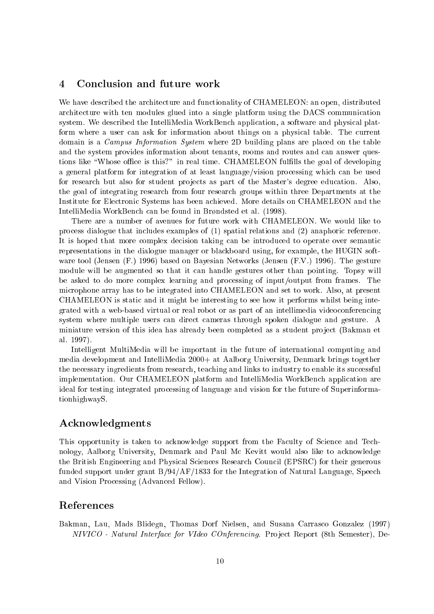#### $\overline{4}$ Conclusion and future work

We have described the architecture and functionality of CHAMELEON: an open, distributed architecture with ten modules glued into a single platform using the DACS communication system. We described the IntelliMedia WorkBench application, a software and physical platform where a user can ask for information about things on a physical table. The current domain is a *Campus Information System* where 2D building plans are placed on the table and the system provides information about tenants, rooms and routes and can answer questions like "Whose office is this?" in real time. CHAMELEON fulfills the goal of developing a general platform for integration of at least language/vision processing which can be used for research but also for student projects as part of the Master's degree education. Also, the goal of integrating resear
h from four resear
h groups within three Departments at the Institute for Electronic Systems has been achieved. More details on CHAMELEON and the IntelliMedia WorkBench can be found in Brøndsted et al. (1998).

There are a number of avenues for future work with CHAMELEON. We would like to pro
ess dialogue that in
ludes examples of (1) spatial relations and (2) anaphori referen
e. It is hoped that more complex decision taking can be introduced to operate over semantic representations in the dialogue manager or bla
kboard using, for example, the HUGIN software tool (Jensen (F.) 1996) based on Bayesian Networks (Jensen (F.V.) 1996). The gesture module will be augmented so that it can handle gestures other than pointing. Topsy will be asked to do more omplex learning and pro
essing of input/output from frames. The microphone array has to be integrated into CHAMELEON and set to work. Also, at present CHAMELEON is static and it might be interesting to see how it performs whilst being integrated with a web-based virtual or real robot or as part of an intellimedia video
onferen
ing system where multiple users can direct cameras through spoken dialogue and gesture. A miniature version of this idea has already been completed as a student project (Bakman et al. 1997).

Intelligent MultiMedia will be important in the future of international omputing and media development and IntelliMedia 2000+ at Aalborg University, Denmark brings together the necessary ingredients from research, teaching and links to industry to enable its successful implementation. Our CHAMELEON platform and IntelliMedia WorkBen
h appli
ation are ideal for testing integrated pro
essing of language and vision for the future of SuperinformationhighwayS.

### A
knowledgments

This opportunity is taken to acknowledge support from the Faculty of Science and Technology, Aalborg University, Denmark and Paul M Kevitt would also like to a
knowledge the British Engineering and Physical Sciences Research Council (EPSRC) for their generous funded support under grant B/94/AF/1833 for the Integration of Natural Language, Spee
h and Vision Pro
essing (Advan
ed Fellow).

### Referen
es

Bakman, Lau, Mads Blidegn, Thomas Dorf Nielsen, and Susana Carras
o Gonzalez (1997) NIVICO - Natural Interface for VIdeo COnferencing. Project Report (8th Semester), De-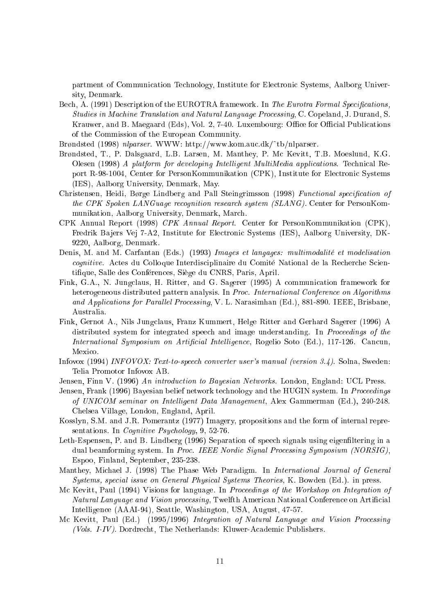partment of Communi
ation Te
hnology, Institute for Ele
troni Systems, Aalborg University, Denmark.

- Bech, A. (1991) Description of the EUROTRA framework. In The Eurotra Formal Specifications, Studies in Machine Translation and Natural Language Processing, C. Copeland, J. Durand, S. Krauwer, and B. Maegaard (Eds), Vol. 2, 7-40. Luxembourg: Office for Official Publications of the Commission of the European Community.
- Brøndsted (1998) *nlparser*. WWW: http://www.kom.auc.dk/<sup>\*</sup>tb/nlparser.
- Brøndsted, T., P. Dalsgaard, L.B. Larsen, M. Manthey, P. Mc Kevitt, T.B. Moeslund, K.G. Olesen (1998) A platform for developing Intelligent MultiMedia applications. Technical Report R-98-1004, Center for PersonKommunikation (CPK), Institute for Electronic Systems (IES), Aalborg University, Denmark, May.
- Christensen, Heidi, Børge Lindberg and Pall Steingrimsson (1998) Functional specification of the CPK Spoken LANGuage recognition research system (SLANG). Center for PersonKommunikation, Aalborg University, Denmark, Mar
h.
- CPK Annual Report (1998) CPK Annual Report. Center for PersonKommunikation (CPK), Fredrik Bajers Vej 7-A2, Institute for Electronic Systems (IES), Aalborg University, DK-9220, Aalborg, Denmark.
- Denis, M. and M. Carfantan (Eds.) (1993) Images et langages: multimodalite et modelisation cognitive. Actes du Colloque Interdisciplinaire du Comité National de la Recherche Scientifique, Salle des Conférences, Siège du CNRS, Paris, April.
- Fink, G.A., N. Jungclaus, H. Ritter, and G. Sagerer (1995) A communication framework for heterogeneous distributed pattern analysis. In *Proc. International Conference on Algorithms* and Applications for Parallel Processing, V. L. Narasimhan (Ed.), 881-890. IEEE, Brisbane, Australia.
- Fink, Gernot A., Nils Jung
laus, Franz Kummert, Helge Ritter and Gerhard Sagerer (1996) A distributed system for integrated speech and image understanding. In Proceedings of the International Symposium on Artificial Intelligence, Rogelio Soto (Ed.), 117-126. Cancun, Mexico.
- Infovox (1994) INFOVOX: Text-to-spee
h onverter user's manual (version 3.4). Solna, Sweden: Telia Promotor Infovox AB.
- Jensen, Finn V. (1996) An introduction to Bayesian Networks. London, England: UCL Press.
- Jensen, Frank (1996) Bayesian belief network technology and the HUGIN system. In *Proceedings* of UNICOM seminar on Intelligent Data Management, Alex Gammerman (Ed.), 240-248. Chelsea Village, London, England, April.
- Kosslyn, S.M. and J.R. Pomerantz (1977) Imagery, propositions and the form of internal representations. In *Cognitive Psychology*, 9, 52-76.
- Leth-Espensen, P. and B. Lindberg (1996) Separation of speech signals using eigenfiltering in a dual beamforming system. In Proc. IEEE Nordic Signal Processing Symposium (NORSIG), Espoo, Finland, September, 235-238.
- Manthey, Michael J. (1998) The Phase Web Paradigm. In International Journal of General Systems, special issue on General Physical Systems Theories, K. Bowden (Ed.). in press.
- Mc Kevitt, Paul (1994) Visions for language. In *Proceedings of the Workshop on Integration of* Natural Language and Vision processing, Twelfth American National Conference on Artificial Intelligen
e (AAAI-94), Seattle, Washington, USA, August, 47-57.
- Mc Kevitt, Paul (Ed.) (1995/1996) Integration of Natural Language and Vision Processing (Vols. I-IV). Dordrecht, The Netherlands: Kluwer-Academic Publishers.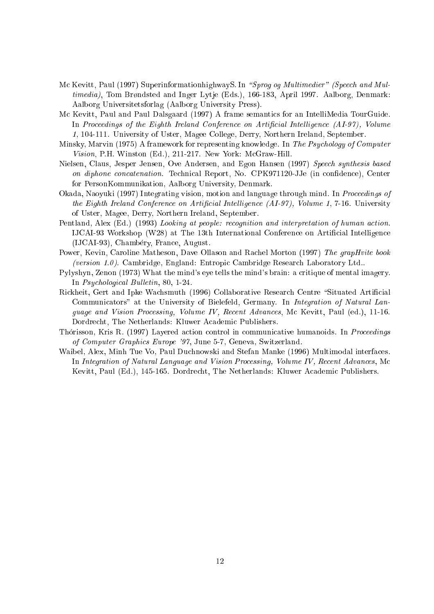- Mc Kevitt, Paul (1997) SuperinformationhighwayS. In "Sprog og Multimedier" (Speech and Multimedia), Tom Brøndsted and Inger Lytje (Eds.), 166-183, April 1997. Aalborg, Denmark: Aalborg Universitetsforlag (Aalborg University Press).
- M Kevitt, Paul and Paul Dalsgaard (1997) A frame semanti
s for an IntelliMedia TourGuide. In Proceedings of the Eighth Ireland Conference on Artificial Intelligence (AI-97), Volume 1, 104-111. University of Uster, Magee College, Derry, Northern Ireland, September.
- Minsky, Marvin (1975) A framework for representing knowledge. In The Psychology of Computer Vision, P.H. Winston (Ed.), 211-217. New York: M
Graw-Hill.
- Nielsen, Claus, Jesper Jensen, Ove Andersen, and Egon Hansen (1997) Spee
h synthesis based on diphone concatenation. Technical Report, No. CPK971120-JJe (in confidence), Center for PersonKommunikation, Aalborg University, Denmark.
- Okada, Naoyuki (1997) Integrating vision, motion and language through mind. In *Proceedings of* the Eighth Ireland Conference on Artificial Intelligence (AI-97), Volume 1, 7-16. University of Uster, Magee, Derry, Northern Ireland, September.
- Pentland, Alex (Ed.) (1993) Looking at people: recognition and interpretation of human action. IJCAI-93 Workshop (W28) at The 13th International Conference on Artificial Intelligence (IJCAI-93), Chambéry, France, August.
- Power, Kevin, Caroline Matheson, Dave Ollason and Rachel Morton (1997) The grapHvite book (version 1.0). Cambridge, England: Entropi Cambridge Resear
h Laboratory Ltd..
- Pylyshyn, Zenon (1973) What the mind's eye tells the mind's brain: a critique of mental imagery. In Psychological Bulletin, 80, 1-24.
- Rickheit, Gert and Ipke Wachsmuth (1996) Collaborative Research Centre "Situated Artificial Communicators" at the University of Bielefeld, Germany. In Integration of Natural Language and Vision Pro
essing, Volume IV, Re
ent Advan
es, M Kevitt, Paul (ed.), 11-16. Dordrecht, The Netherlands: Kluwer Academic Publishers.
- Thórisson, Kris R. (1997) Layered action control in communicative humanoids. In *Proceedings* of Computer Graphi
s Europe '97, June 5-7, Geneva, Switzerland.
- Waibel, Alex, Minh Tue Vo, Paul Duchnowski and Stefan Manke (1996) Multimodal interfaces. In Integration of Natural Language and Vision Processing, Volume IV, Recent Advances, Mc Kevitt, Paul (Ed.), 145-165. Dordrecht, The Netherlands: Kluwer Academic Publishers.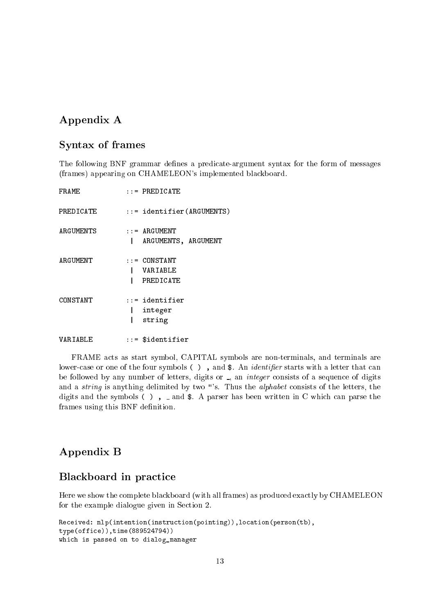# Appendix A

## Syntax of frames

The following BNF grammar defines a predicate-argument syntax for the form of messages (frames) appearing on CHAMELEON's implemented bla
kboard.

| <b>FRAME</b> | $: :=$ PREDICATE                         |
|--------------|------------------------------------------|
| PREDICATE    | $::=$ identifier(ARGUMENTS)              |
| ARGUMENTS    | $: :=$ ARGUMENT<br>ARGUMENTS, ARGUMENT   |
| ARGUMENT     | ::= CONSTANT<br>VARIABLE<br>PREDICATE    |
| CONSTANT     | $: z = id$ entifier<br>integer<br>string |
| VARIABLE     | ::= \$identifier                         |

FRAME acts as start symbol, CAPITAL symbols are non-terminals, and terminals are lower-case or one of the four symbols (), and \$. An *identifier* starts with a letter that can be followed by any number of letters, digits or \_, an *integer* consists of a sequence of digits and a *string* is anything delimited by two "'s. Thus the *alphabet* consists of the letters, the digits and the symbols  $( )$ ,  $=$  and  $\$ . A parser has been written in C which can parse the frames using this BNF definition.

# Appendix B

### Blackboard in practice

Here we show the complete blackboard (with all frames) as produced exactly by CHAMELEON for the example dialogue given in Section 2.

```
Received: nlp(intention(instruction(pointing)), location(person(tb),
type(offi
e)),time(889524794))
which is passed on to dialog_manager
```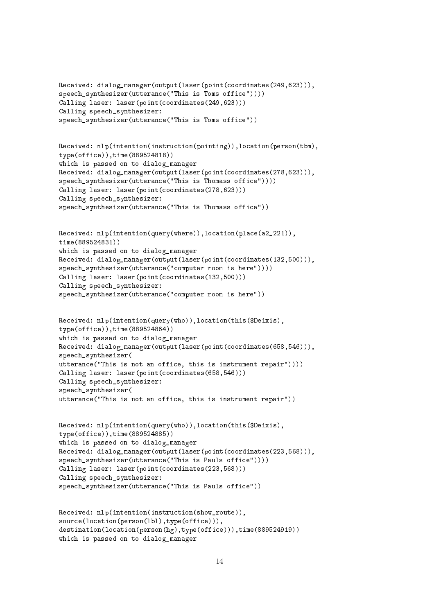```
Received: dialog manager(output(laser(point(coordinates(249,623))),
speech synthesizer(utterance("This is Toms office"))))
Calling laser: laser(point(coordinates(249,623)))
Calling spee
h_synthesizer:
speech_synthesizer(utterance("This is Toms office"))
Received: nlp(intention(instruction(pointing)), location(person(tbm),
type(offi
e)),time(889524818))
which is passed on to dialog_manager
Received: dialog_manager(output(laser(point(coordinates(278.623))).
speech_synthesizer(utterance("This is Thomass office"))))
Calling laser: laser(point(coordinates(278,623)))
Calling speech synthesizer:
speech_synthesizer(utterance("This is Thomass office"))
Received: nlp(intention(query(where)), location(place(a2_221)),
time(889524831))
which is passed on to dialog_manager
Received: dialog_manager(output(laser(point(coordinates(132,500))),
speech synthesizer(utterance("computer room is here"))))
Calling laser: laser(point(coordinates(132,500)))
Calling spee
h_synthesizer:
spee
h_synthesizer(utteran
e("
omputer room is here"))
Received: nlp(intention(query(who)), location(this($Deixis),
type(offi
e)),time(889524864))
which is passed on to dialog_manager
Received: dialog_manager(output(laser(point(coordinates(658,546))),
spee
h_synthesizer(
utterance ("This is not an office, this is instrument repair"))))
Calling laser: laser(point(coordinates(658,546)))
Calling spee
h_synthesizer:
spee
h_synthesizer(
utteran
e("This is not an offi
e, this is instrument repair"))
Received: nlp(intention(query(who)), location(this($Deixis),
type(offi
e)),time(889524885))
which is passed on to dialog_manager
Received: dialog_manager(output(laser(point(coordinates(223,568))),
speech_synthesizer(utterance("This is Pauls office"))))
Calling laser: laser(point(coordinates(223,568)))
Calling spee
h_synthesizer:
speech_synthesizer(utterance("This is Pauls office"))
Received: nlp(intention(instruction(show_route)),
source(location(person(lbl),type(office))),
destination(location(person(hg), type(office))), time(889524919))
which is passed on to dialog_manager
```